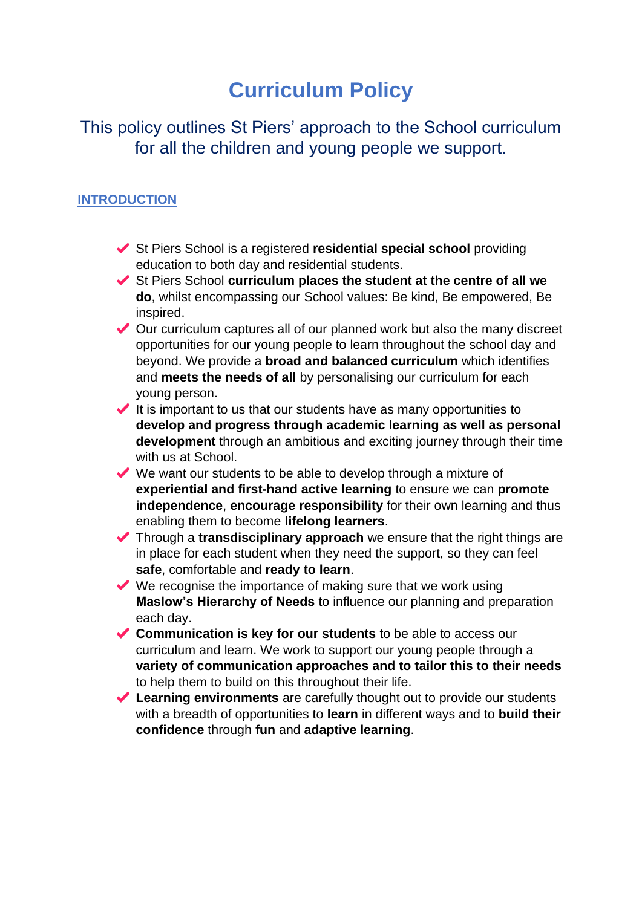# **Curriculum Policy**

# This policy outlines St Piers' approach to the School curriculum for all the children and young people we support.

### **INTRODUCTION**

- St Piers School is a registered **residential special school** providing education to both day and residential students.
- ◆ St Piers School **curriculum places the student at the centre of all we do**, whilst encompassing our School values: Be kind, Be empowered, Be inspired.
- ◆ Our curriculum captures all of our planned work but also the many discreet opportunities for our young people to learn throughout the school day and beyond. We provide a **broad and balanced curriculum** which identifies and **meets the needs of all** by personalising our curriculum for each young person.
- $\blacktriangleright$  It is important to us that our students have as many opportunities to **develop and progress through academic learning as well as personal development** through an ambitious and exciting journey through their time with us at School.
- $\vee$  We want our students to be able to develop through a mixture of **experiential and first-hand active learning** to ensure we can **promote independence**, **encourage responsibility** for their own learning and thus enabling them to become **lifelong learners**.
- Through a **transdisciplinary approach** we ensure that the right things are in place for each student when they need the support, so they can feel **safe**, comfortable and **ready to learn**.
- $\blacktriangleright$  We recognise the importance of making sure that we work using **Maslow's Hierarchy of Needs** to influence our planning and preparation each day.
- **Communication is key for our students** to be able to access our curriculum and learn. We work to support our young people through a **variety of communication approaches and to tailor this to their needs** to help them to build on this throughout their life.
- **Learning environments** are carefully thought out to provide our students with a breadth of opportunities to **learn** in different ways and to **build their confidence** through **fun** and **adaptive learning**.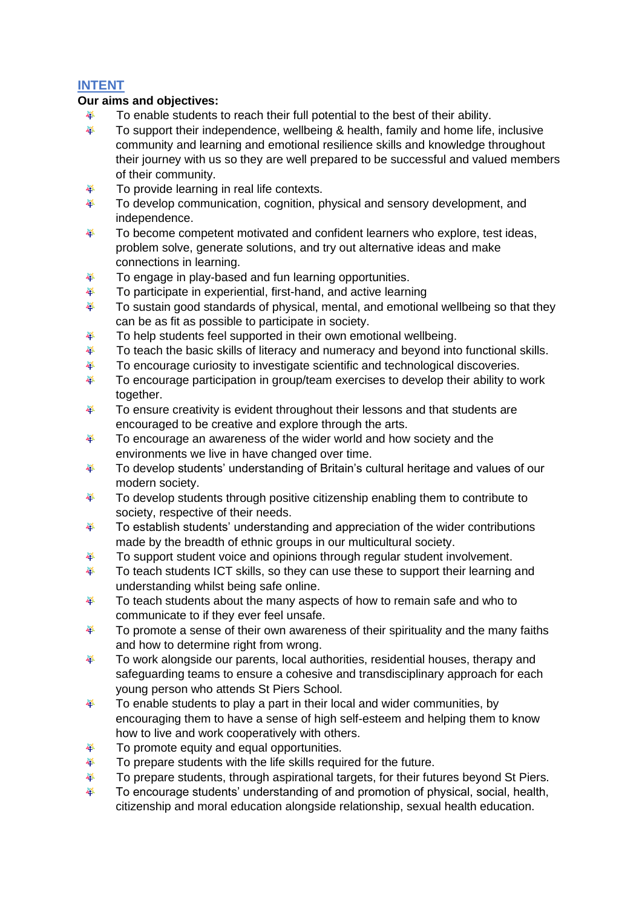### **INTENT**

#### **Our aims and objectives:**

- To enable students to reach their full potential to the best of their ability. 器
- 器 To support their independence, wellbeing & health, family and home life, inclusive community and learning and emotional resilience skills and knowledge throughout their journey with us so they are well prepared to be successful and valued members of their community.
- 拳 To provide learning in real life contexts.
- To develop communication, cognition, physical and sensory development, and 挙 independence.
- 羅 To become competent motivated and confident learners who explore, test ideas, problem solve, generate solutions, and try out alternative ideas and make connections in learning.
- 拳 To engage in play-based and fun learning opportunities.
- 挙 To participate in experiential, first-hand, and active learning
- 器 To sustain good standards of physical, mental, and emotional wellbeing so that they can be as fit as possible to participate in society.
- 器 To help students feel supported in their own emotional wellbeing.
- 拳 To teach the basic skills of literacy and numeracy and beyond into functional skills.
- To encourage curiosity to investigate scientific and technological discoveries. 拳
- 挙 To encourage participation in group/team exercises to develop their ability to work together.
- 拳 To ensure creativity is evident throughout their lessons and that students are encouraged to be creative and explore through the arts.
- 挙 To encourage an awareness of the wider world and how society and the environments we live in have changed over time.
- To develop students' understanding of Britain's cultural heritage and values of our 緑 modern society.
- 拳 To develop students through positive citizenship enabling them to contribute to society, respective of their needs.
- 器 To establish students' understanding and appreciation of the wider contributions made by the breadth of ethnic groups in our multicultural society.
- To support student voice and opinions through regular student involvement. 挙
- 拳 To teach students ICT skills, so they can use these to support their learning and understanding whilst being safe online.
- 挙 To teach students about the many aspects of how to remain safe and who to communicate to if they ever feel unsafe.
- To promote a sense of their own awareness of their spirituality and the many faiths 拳 and how to determine right from wrong.
- 拳 To work alongside our parents, local authorities, residential houses, therapy and safeguarding teams to ensure a cohesive and transdisciplinary approach for each young person who attends St Piers School.
- 挙 To enable students to play a part in their local and wider communities, by encouraging them to have a sense of high self-esteem and helping them to know how to live and work cooperatively with others.
- 拳 To promote equity and equal opportunities.
- 拳 To prepare students with the life skills required for the future.
- To prepare students, through aspirational targets, for their futures beyond St Piers. 挙
- 拳 To encourage students' understanding of and promotion of physical, social, health, citizenship and moral education alongside relationship, sexual health education.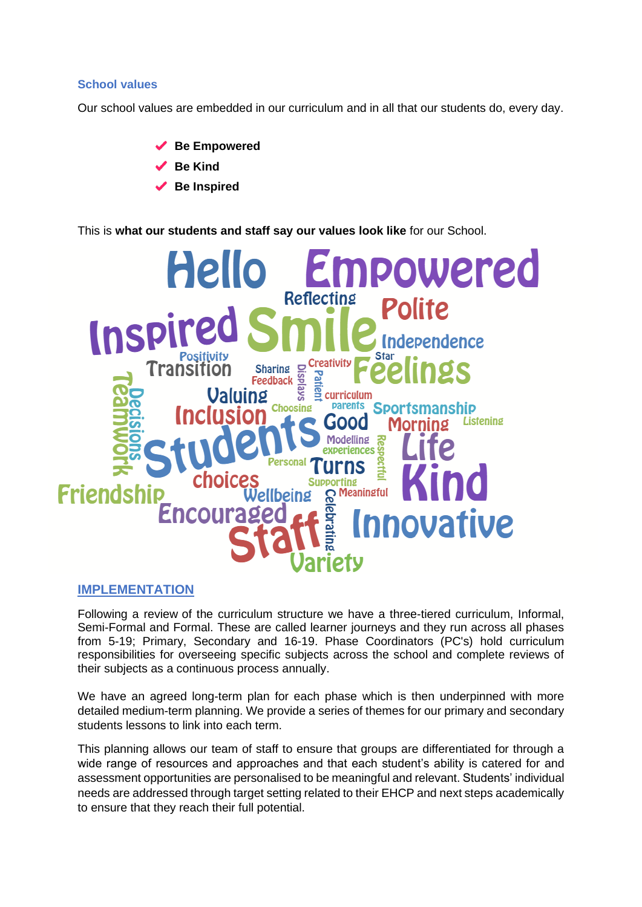#### **School values**

Our school values are embedded in our curriculum and in all that our students do, every day.

◆ Be Empowered **Be Kind Be Inspired**

This is **what our students and staff say our values look like** for our School.



#### **IMPLEMENTATION**

Following a review of the curriculum structure we have a three-tiered curriculum, Informal, Semi-Formal and Formal. These are called learner journeys and they run across all phases from 5-19; Primary, Secondary and 16-19. Phase Coordinators (PC's) hold curriculum responsibilities for overseeing specific subjects across the school and complete reviews of their subjects as a continuous process annually.

We have an agreed long-term plan for each phase which is then underpinned with more detailed medium-term planning. We provide a series of themes for our primary and secondary students lessons to link into each term.

This planning allows our team of staff to ensure that groups are differentiated for through a wide range of resources and approaches and that each student's ability is catered for and assessment opportunities are personalised to be meaningful and relevant. Students' individual needs are addressed through target setting related to their EHCP and next steps academically to ensure that they reach their full potential.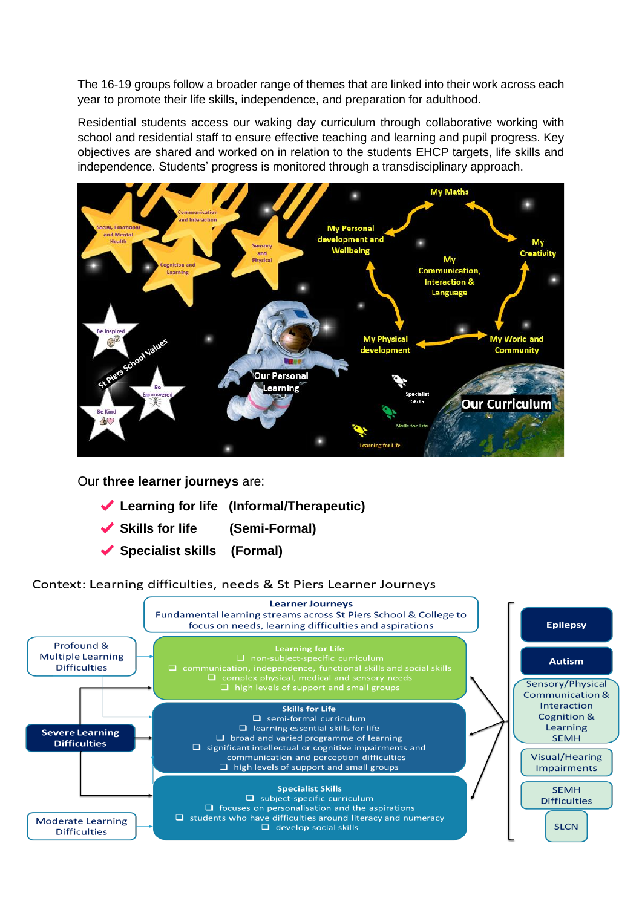The 16-19 groups follow a broader range of themes that are linked into their work across each year to promote their life skills, independence, and preparation for adulthood.

Residential students access our waking day curriculum through collaborative working with school and residential staff to ensure effective teaching and learning and pupil progress. Key objectives are shared and worked on in relation to the students EHCP targets, life skills and independence. Students' progress is monitored through a transdisciplinary approach.



Our **three learner journeys** are:

- **Learning for life (Informal/Therapeutic)**
- **Skills for life (Semi-Formal)**
- **Specialist skills (Formal)**

Context: Learning difficulties, needs & St Piers Learner Journeys

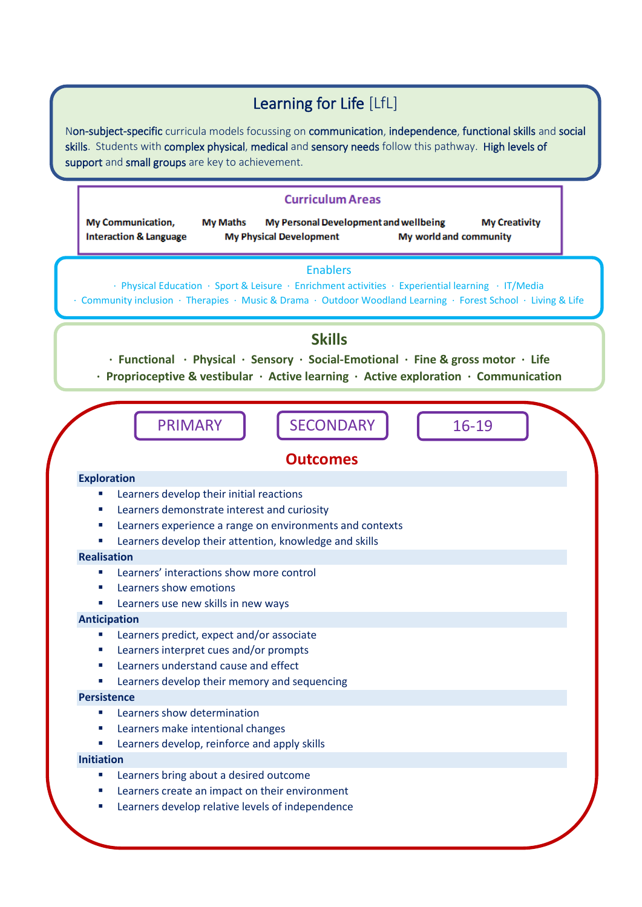# Learning for Life [LfL]

Non-subject-specific curricula models focussing on communication, independence, functional skills and social skills. Students with complex physical, medical and sensory needs follow this pathway. High levels of support and small groups are key to achievement.

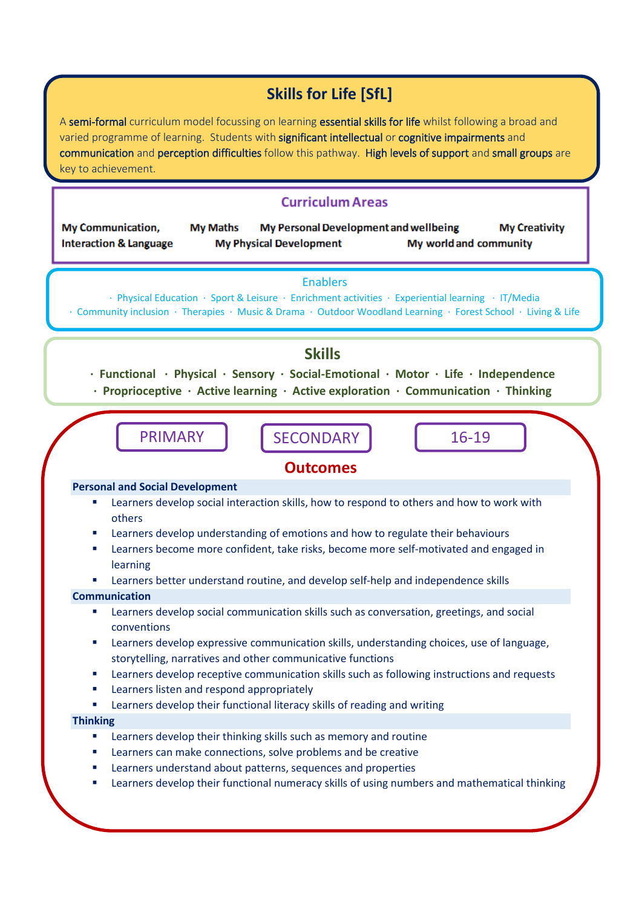# **Skills for Life [SfL]**

A semi-formal curriculum model focussing on learning essential skills for life whilst following a broad and varied programme of learning. Students with significant intellectual or cognitive impairments and communication and perception difficulties follow this pathway. High levels of support and small groups are key to achievement.

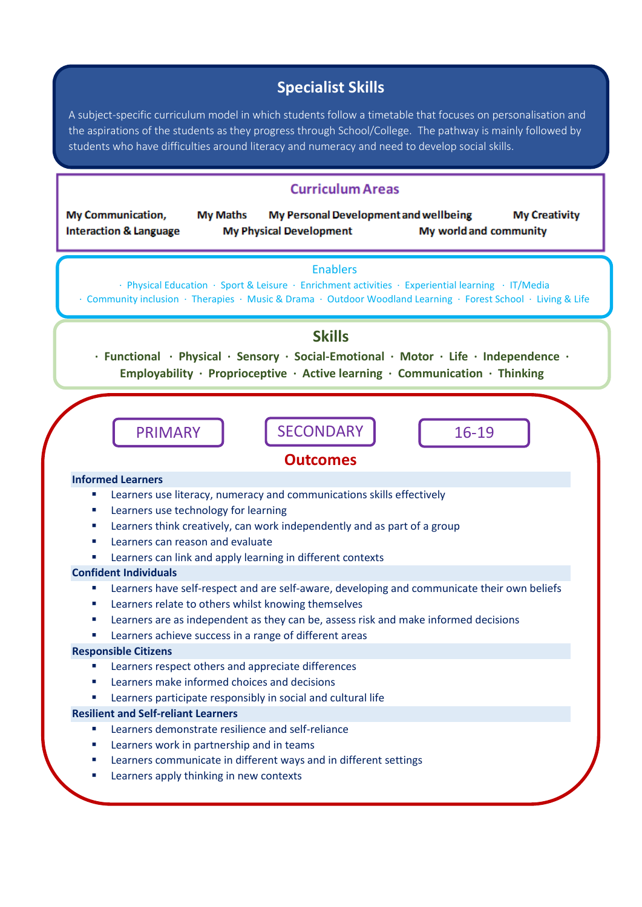# **Specialist Skills**

A subject-specific curriculum model in which students follow a timetable that focuses on personalisation and the aspirations of the students as they progress through School/College. The pathway is mainly followed by students who have difficulties around literacy and numeracy and need to develop social skills.

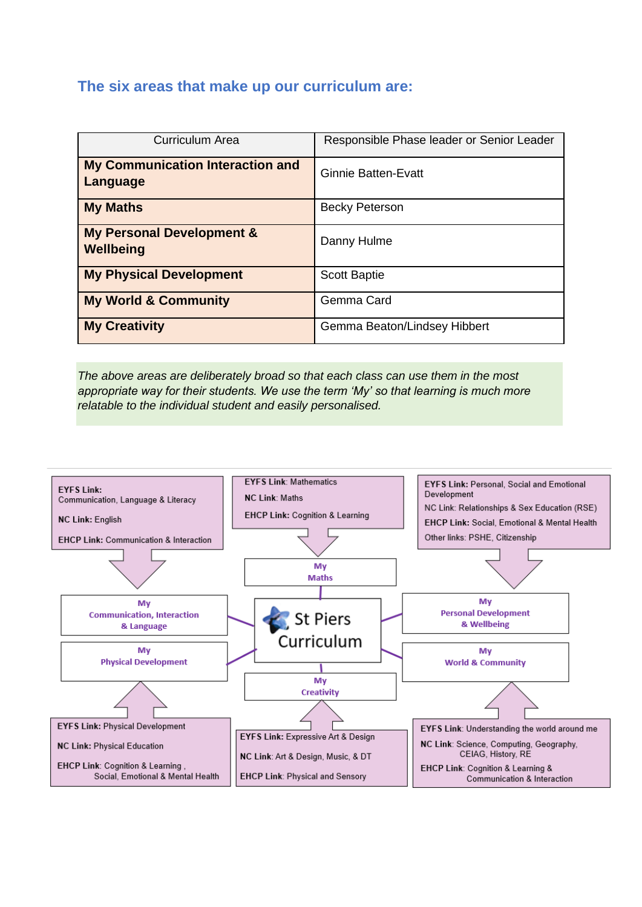## **The six areas that make up our curriculum are:**

| <b>Curriculum Area</b>                              | Responsible Phase leader or Senior Leader |  |
|-----------------------------------------------------|-------------------------------------------|--|
| <b>My Communication Interaction and</b><br>Language | <b>Ginnie Batten-Evatt</b>                |  |
| <b>My Maths</b>                                     | <b>Becky Peterson</b>                     |  |
| <b>My Personal Development &amp;</b><br>Wellbeing   | Danny Hulme                               |  |
| <b>My Physical Development</b>                      | <b>Scott Baptie</b>                       |  |
| <b>My World &amp; Community</b>                     | Gemma Card                                |  |
| <b>My Creativity</b>                                | Gemma Beaton/Lindsey Hibbert              |  |

*The above areas are deliberately broad so that each class can use them in the most appropriate way for their students. We use the term 'My' so that learning is much more relatable to the individual student and easily personalised.*

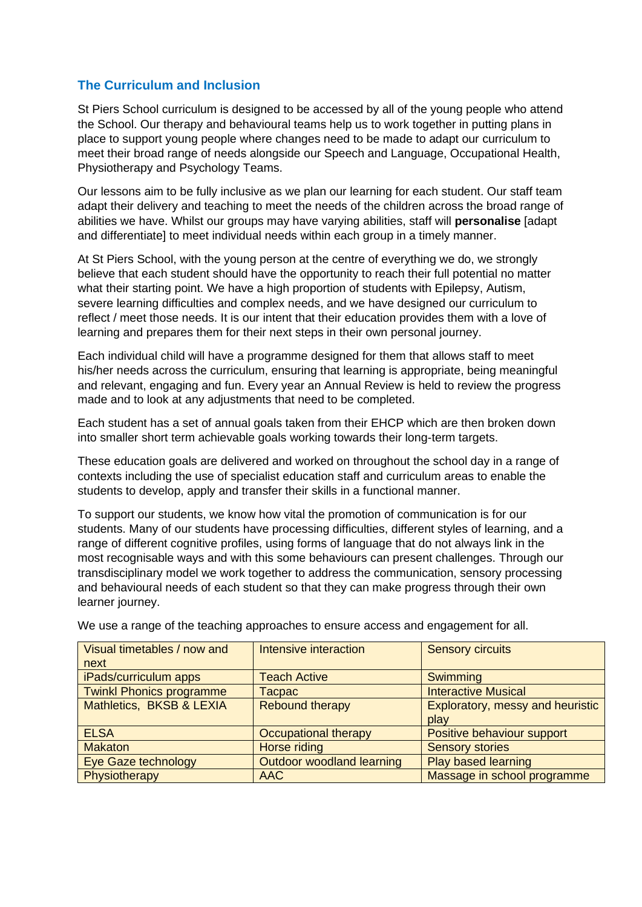### **The Curriculum and Inclusion**

St Piers School curriculum is designed to be accessed by all of the young people who attend the School. Our therapy and behavioural teams help us to work together in putting plans in place to support young people where changes need to be made to adapt our curriculum to meet their broad range of needs alongside our Speech and Language, Occupational Health, Physiotherapy and Psychology Teams.

Our lessons aim to be fully inclusive as we plan our learning for each student. Our staff team adapt their delivery and teaching to meet the needs of the children across the broad range of abilities we have. Whilst our groups may have varying abilities, staff will **personalise** [adapt and differentiate] to meet individual needs within each group in a timely manner.

At St Piers School, with the young person at the centre of everything we do, we strongly believe that each student should have the opportunity to reach their full potential no matter what their starting point. We have a high proportion of students with Epilepsy, Autism, severe learning difficulties and complex needs, and we have designed our curriculum to reflect / meet those needs. It is our intent that their education provides them with a love of learning and prepares them for their next steps in their own personal journey.

Each individual child will have a programme designed for them that allows staff to meet his/her needs across the curriculum, ensuring that learning is appropriate, being meaningful and relevant, engaging and fun. Every year an Annual Review is held to review the progress made and to look at any adjustments that need to be completed.

Each student has a set of annual goals taken from their EHCP which are then broken down into smaller short term achievable goals working towards their long-term targets.

These education goals are delivered and worked on throughout the school day in a range of contexts including the use of specialist education staff and curriculum areas to enable the students to develop, apply and transfer their skills in a functional manner.

To support our students, we know how vital the promotion of communication is for our students. Many of our students have processing difficulties, different styles of learning, and a range of different cognitive profiles, using forms of language that do not always link in the most recognisable ways and with this some behaviours can present challenges. Through our transdisciplinary model we work together to address the communication, sensory processing and behavioural needs of each student so that they can make progress through their own learner journey.

| Visual timetables / now and     | Intensive interaction       | <b>Sensory circuits</b>          |
|---------------------------------|-----------------------------|----------------------------------|
| next                            |                             |                                  |
| iPads/curriculum apps           | <b>Teach Active</b>         | Swimming                         |
| <b>Twinkl Phonics programme</b> | Tacpac                      | <b>Interactive Musical</b>       |
| Mathletics, BKSB & LEXIA        | <b>Rebound therapy</b>      | Exploratory, messy and heuristic |
|                                 |                             | play                             |
| <b>ELSA</b>                     | <b>Occupational therapy</b> | Positive behaviour support       |
| <b>Makaton</b>                  | Horse riding                | <b>Sensory stories</b>           |
| Eye Gaze technology             | Outdoor woodland learning   | Play based learning              |
| Physiotherapy                   | AAC                         | Massage in school programme      |

We use a range of the teaching approaches to ensure access and engagement for all.